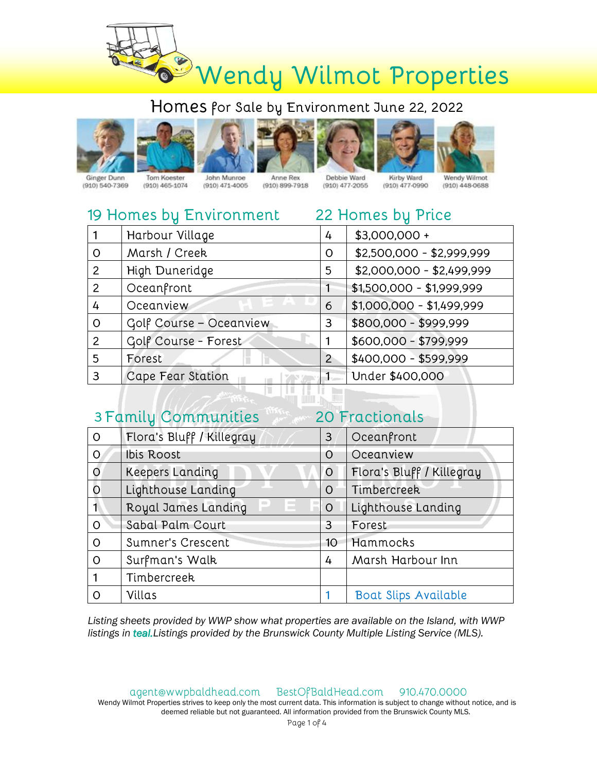







Anne Rex (910) 899-7918





Ginger Dunn (910) 540-7369

Tom Koester  $(910)$  465-1074

John Munroe  $(910)$  471-4005

Kirby Ward Debbie Ward (910) 477-2055 (910) 477-0990

22 Homes bu Price

Wendy Wilmot  $(910)$  448-0688

## 19 Homes by Environment

|                | Harbour Village         | 4 | \$3,000,000 +             |
|----------------|-------------------------|---|---------------------------|
| O              | Marsh / Creek           | O | \$2,500,000 - \$2,999,999 |
| $\overline{2}$ | High Duneridge          | 5 | \$2,000,000 - \$2,499,999 |
| $\overline{2}$ | Oceanfront              |   | $$1,500,000 - $1,999,999$ |
| 4              | Oceanview               | 6 | $$1,000,000 - $1,499,999$ |
| $\Omega$       | Golf Course - Oceanview | 3 | \$800,000 - \$999,999     |
| 2              | Golf Course - Forest    |   | \$600,000 - \$799,999     |
| 5              | Forest                  | 2 | \$400,000 - \$599,999     |
| 3              | Cape Fear Station       |   | Under \$400,000           |
|                |                         |   |                           |

| 20 Fractionals<br>3 Family Communities |                           |                 |                             |  |
|----------------------------------------|---------------------------|-----------------|-----------------------------|--|
| $\Omega$                               | Flora's Bluff / Killegray | 3               | Oceanfront                  |  |
| $\overline{O}$                         | Ibis Roost                | O               | Oceanview                   |  |
| $\overline{O}$                         | <b>Keepers Landing</b>    | O               | Flora's Bluff / Killegray   |  |
| $\circ$                                | Lighthouse Landing        | $\Omega$        | Timbercreek                 |  |
| $\blacksquare$                         | Royal James Landing       | $\circ$         | Lighthouse Landing          |  |
| $\Omega$                               | Sabal Palm Court          | 3               | Forest                      |  |
| $\Omega$                               | Sumner's Crescent         | 10 <sup>°</sup> | Hammocks                    |  |
| $\Omega$                               | Surfman's Walk            | 4               | Marsh Harbour Inn           |  |
|                                        | Timbercreek               |                 |                             |  |
| $\Omega$                               | Villas                    |                 | <b>Boat Slips Available</b> |  |

Listing sheets provided by WWP show what properties are available on the Island, with WWP listings in teal. Listings provided by the Brunswick County Multiple Listing Service (MLS).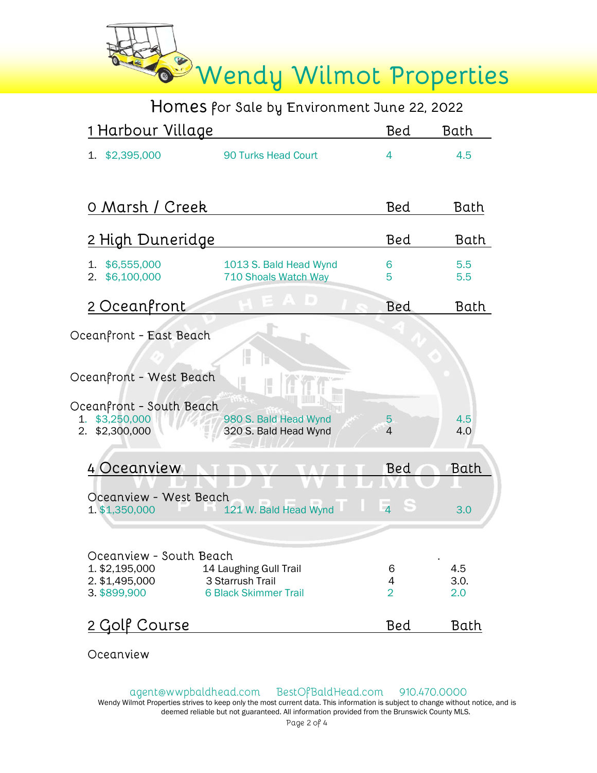

| <u>1 Harbour Village</u>               |                                                  | Bed                 | Bath        |
|----------------------------------------|--------------------------------------------------|---------------------|-------------|
| 1. \$2,395,000                         | 90 Turks Head Court                              | 4                   | 4.5         |
|                                        |                                                  |                     |             |
| 0 Marsh / Creek                        |                                                  | Bed                 | Bath        |
| <u>2 High Duneridge</u>                |                                                  | <b>Bed</b>          | Bath        |
| \$6,555,000<br>1.<br>\$6,100,000<br>2. | 1013 S. Bald Head Wynd<br>710 Shoals Watch Way   | 6<br>5              | 5.5<br>5.5  |
| 2 Oceanfront                           | , ID                                             | <b>Bed</b>          | Bath        |
| Oceanfront - East Beach                |                                                  |                     |             |
|                                        |                                                  |                     |             |
| Oceanfront - West Beach                |                                                  |                     |             |
| Oceanfront - South Beach               |                                                  |                     |             |
| \$3,250,000<br>1.<br>\$2,300,000<br>2. | 980 S. Bald Head Wynd<br>320 S. Bald Head Wynd   | 5<br>$\overline{4}$ | 4.5<br>4.0  |
| 4 Oceanview                            |                                                  | Bed                 | Bath        |
| Oceanview - West Beach                 |                                                  |                     |             |
| 1. \$1,350,000                         | 121 W. Bald Head Wynd                            | $\overline{4}$<br>S | 3.0         |
|                                        |                                                  |                     |             |
| Oceanview - South Beach                |                                                  |                     |             |
| 1. \$2,195,000                         | 14 Laughing Gull Trail                           | 6                   | 4.5         |
| 2. \$1,495,000<br>3. \$899,900         | 3 Starrush Trail<br><b>6 Black Skimmer Trail</b> | 4<br>$\overline{2}$ | 3.0.<br>2.0 |
|                                        |                                                  |                     |             |
| 2 Golf Course                          |                                                  | Bed                 | Bath        |
|                                        |                                                  |                     |             |

Oceanview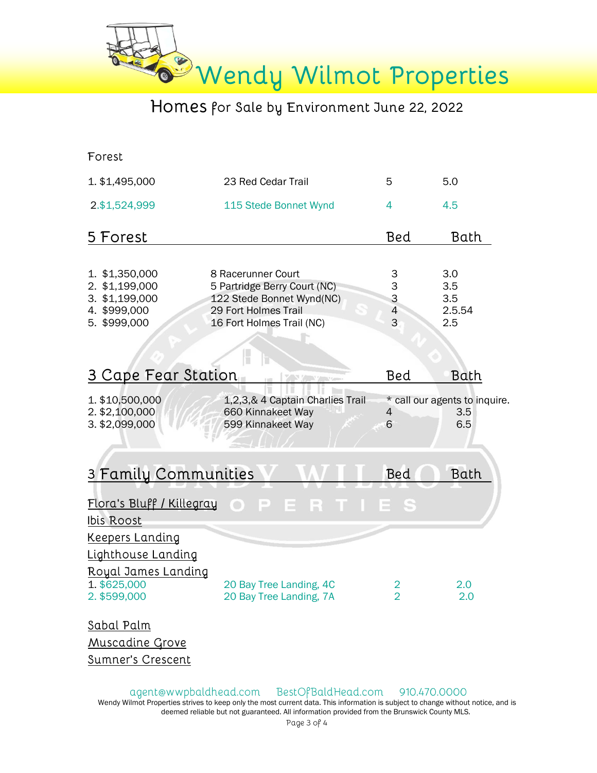

Forest

| 1. \$1,495,000                                                                     | 23 Red Cedar Trail                                                                                                                   | 5                                    | 5.0                                         |
|------------------------------------------------------------------------------------|--------------------------------------------------------------------------------------------------------------------------------------|--------------------------------------|---------------------------------------------|
| 2.\$1,524,999                                                                      | 115 Stede Bonnet Wynd                                                                                                                | 4                                    | 4.5                                         |
| 5 Forest                                                                           |                                                                                                                                      | Bed                                  | Bath                                        |
| 1. \$1,350,000<br>2. \$1,199,000<br>3. \$1,199,000<br>4. \$999,000<br>5. \$999,000 | 8 Racerunner Court<br>5 Partridge Berry Court (NC)<br>122 Stede Bonnet Wynd(NC)<br>29 Fort Holmes Trail<br>16 Fort Holmes Trail (NC) | $\frac{3}{3}$<br>$\overline{4}$<br>3 | 3.0<br>3.5<br>3.5<br>2.5.54<br>2.5          |
| 3 Cape Fear Station                                                                |                                                                                                                                      | Bed                                  | Bath                                        |
| 1. \$10,500,000<br>2. \$2,100,000<br>3. \$2,099,000                                | 1,2,3,& 4 Captain Charlies Trail<br>660 Kinnakeet Way<br>599 Kinnakeet Way                                                           | 4<br>6                               | * call our agents to inquire.<br>3.5<br>6.5 |
| 3 Family Communities                                                               |                                                                                                                                      | Bed                                  | Bath                                        |
| Flora's Bluff / Killegray<br>Ibis Roost                                            | P<br>R<br>E<br>$\bigcap$                                                                                                             | E S                                  |                                             |
| Keepers Landing                                                                    |                                                                                                                                      |                                      |                                             |
| <b>Lighthouse Landing</b><br>Royal James Landing<br>1. \$625,000<br>2. \$599,000   | 20 Bay Tree Landing, 4C<br>20 Bay Tree Landing, 7A                                                                                   | 2<br>$\overline{2}$                  | 2.0<br>2.0                                  |
| $Rahal$ Dalm                                                                       |                                                                                                                                      |                                      |                                             |

<u>Sabal Palm</u> Muscadine Grove Sumner's Crescent